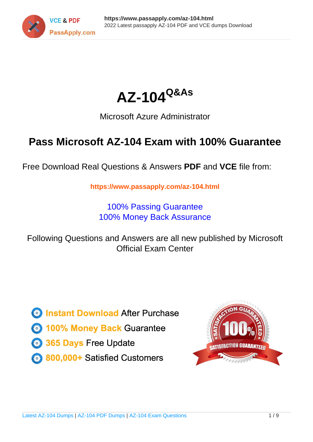



# Microsoft Azure Administrator

# **Pass Microsoft AZ-104 Exam with 100% Guarantee**

Free Download Real Questions & Answers **PDF** and **VCE** file from:

**https://www.passapply.com/az-104.html**

100% Passing Guarantee 100% Money Back Assurance

Following Questions and Answers are all new published by Microsoft Official Exam Center

**C** Instant Download After Purchase

**83 100% Money Back Guarantee** 

365 Days Free Update

800,000+ Satisfied Customers

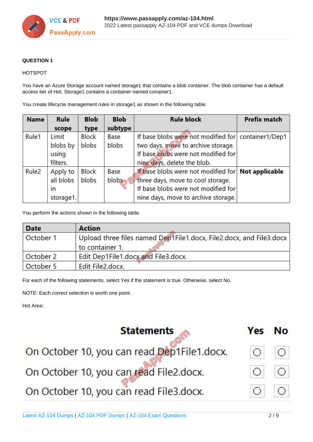

# **QUESTION 1**

## HOTSPOT

You have an Azure Storage account named storage1 that contains a blob container. The blob container has a default access tier of Hot. Storage1 contains a container named conainer1.

You create lifecycle management rules in storage1 as shown in the following table.

| <b>Name</b>       | Rule<br>scope                                      | <b>Blob</b><br>type | <b>Blob</b><br>subtype                                                                                                                                                                 | <b>Rule block</b>                                                                                                                                               | <b>Prefix match</b> |
|-------------------|----------------------------------------------------|---------------------|----------------------------------------------------------------------------------------------------------------------------------------------------------------------------------------|-----------------------------------------------------------------------------------------------------------------------------------------------------------------|---------------------|
| Rule1             | Limit<br>blobs by<br>using<br>filters.             | Block<br>blobs      | Base<br>blobs                                                                                                                                                                          | If base blobs were not modified for container1/Dep1<br>two days, move to archive storage.<br>If base blobs were not modified for<br>nine days, delete the blob. |                     |
| Rule <sub>2</sub> | Apply to<br>all blobs<br>$\mathsf{I}$<br>storage1. | Block<br>blobs      | If base blobs were not modified for Not applicable<br>Base<br>blobs<br>three days, move to cool storage.<br>If base blobs were not modified for<br>nine days, move to archive storage. |                                                                                                                                                                 |                     |

You perform the actions shown in the following table.

| <b>Date</b><br><b>Action</b> |                                                                                          |
|------------------------------|------------------------------------------------------------------------------------------|
| October 1                    | Upload three files named Dep1File1.docx, File2.docx, and File3.docx  <br>to container 1. |
| October 2                    | Edit Dep1File1.docx and File3.docx.                                                      |
| October 5                    | Edit File2.docx.                                                                         |

For each of the following statements, select Yes if the statement is true. Otherwise, select No.

NOTE: Each correct selection is worth one point.

Hot Area:

| <b>Statements</b>                           | Yes | <b>No</b> |
|---------------------------------------------|-----|-----------|
| On October 10, you can read Dep1File1.docx. |     |           |
| On October 10, you can read File2.docx.     |     |           |
| On October 10, you can read File3.docx.     |     |           |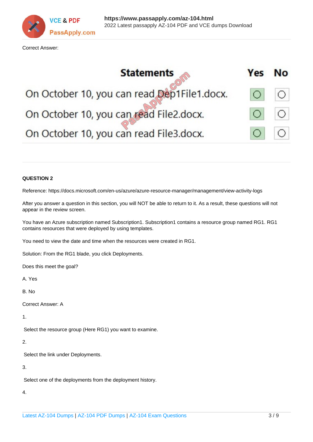

Correct Answer:



#### **QUESTION 2**

Reference: https://docs.microsoft.com/en-us/azure/azure-resource-manager/management/view-activity-logs

After you answer a question in this section, you will NOT be able to return to it. As a result, these questions will not appear in the review screen.

You have an Azure subscription named Subscription1. Subscription1 contains a resource group named RG1. RG1 contains resources that were deployed by using templates.

You need to view the date and time when the resources were created in RG1.

Solution: From the RG1 blade, you click Deployments.

Does this meet the goal?

A. Yes

B. No

Correct Answer: A

1.

Select the resource group (Here RG1) you want to examine.

# 2.

Select the link under Deployments.

3.

Select one of the deployments from the deployment history.

4.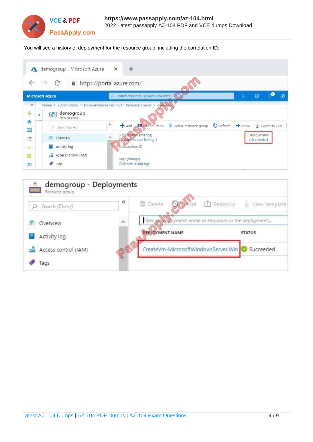

You will see a history of deployment for the resource group, including the correlation ID.

| $\mathbf{\Lambda}$               | demogroup - Microsoft Azure                                                                                             | $\div$<br>$\times$                                                                                                                      |
|----------------------------------|-------------------------------------------------------------------------------------------------------------------------|-----------------------------------------------------------------------------------------------------------------------------------------|
| $\rightarrow$                    | C                                                                                                                       | https://portal.azure.com/                                                                                                               |
| <b>Microsoft Azure</b>           |                                                                                                                         | 最<br>ණ<br>Search resources, services, and docs<br>47<br>p.                                                                              |
| $\mathcal{W}$<br>÷<br>$\gg$<br>٠ | Home > Subscriptions > Documentation Testing 1 - Resource groups ><br>demogroup<br>Resource group<br>D. Search (Ctrl+/) | demograup<br>Ķ<br>Add <b>FB</b> Edit columns<br>Delete resource group<br>C Refresh<br>$\rightarrow$ Maye<br>$\frac{1}{2}$ Export to CSV |
| 僵<br>這<br>$-\frac{1}{2}$         | <b>C</b> Overview<br>Activity loc<br>н                                                                                  | Substription (change)<br>Deployments<br>Do2unveritation Testing 1<br>1 Succeeded<br>Subscription ID                                     |
| 匪<br>G                           | <b>Access control (IAM)</b><br>Tags                                                                                     | Tags (change)<br>Click here to add tags                                                                                                 |

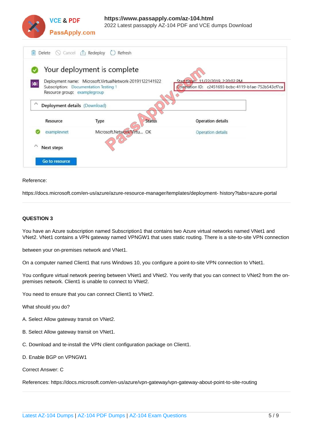

| Delete $\bigcirc$ Cancel $\bigcirc$ Redeploy<br>m                                                                                                                                                                                            | Refresh<br>$\Box$<br>Your deployment is complete |                          |  |  |  |
|----------------------------------------------------------------------------------------------------------------------------------------------------------------------------------------------------------------------------------------------|--------------------------------------------------|--------------------------|--|--|--|
| Start time 11/22/2019 2:20:02 PM<br>Deployment name: Microsoft.VirtualNetwork-20191122141922<br>$ 0\rangle$<br>Correlation ID: c2451693-bcbc-4119-b1ae-752b543cf7ca<br>Subscription: Documentation Testing 1<br>Resource group: examplegroup |                                                  |                          |  |  |  |
| $\sim$<br>Deployment details (Download)                                                                                                                                                                                                      |                                                  |                          |  |  |  |
| Resource                                                                                                                                                                                                                                     | <b>Status</b><br>Type                            | <b>Operation details</b> |  |  |  |
| examplevnet                                                                                                                                                                                                                                  | Microsoft.Network/Virtu OK                       | Operation details        |  |  |  |
| ∧<br>Next steps                                                                                                                                                                                                                              |                                                  |                          |  |  |  |
| Go to resource                                                                                                                                                                                                                               |                                                  |                          |  |  |  |

#### Reference:

https://docs.microsoft.com/en-us/azure/azure-resource-manager/templates/deployment- history?tabs=azure-portal

#### **QUESTION 3**

You have an Azure subscription named Subscription1 that contains two Azure virtual networks named VNet1 and VNet2. VNet1 contains a VPN gateway named VPNGW1 that uses static routing. There is a site-to-site VPN connection

between your on-premises network and VNet1.

On a computer named Client1 that runs Windows 10, you configure a point-to-site VPN connection to VNet1.

You configure virtual network peering between VNet1 and VNet2. You verify that you can connect to VNet2 from the onpremises network. Client1 is unable to connect to VNet2.

You need to ensure that you can connect Client1 to VNet2.

What should you do?

- A. Select Allow gateway transit on VNet2.
- B. Select Allow gateway transit on VNet1.
- C. Download and te-install the VPN client configuration package on Client1.
- D. Enable BGP on VPNGW1

Correct Answer: C

References: https://docs.microsoft.com/en-us/azure/vpn-gateway/vpn-gateway-about-point-to-site-routing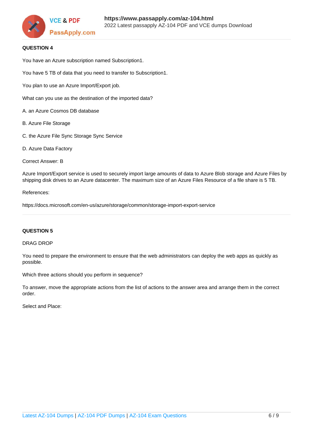

### **QUESTION 4**

You have an Azure subscription named Subscription1.

You have 5 TB of data that you need to transfer to Subscription1.

You plan to use an Azure Import/Export job.

What can you use as the destination of the imported data?

A. an Azure Cosmos DB database

- B. Azure File Storage
- C. the Azure File Sync Storage Sync Service
- D. Azure Data Factory

#### Correct Answer: B

Azure Import/Export service is used to securely import large amounts of data to Azure Blob storage and Azure Files by shipping disk drives to an Azure datacenter. The maximum size of an Azure Files Resource of a file share is 5 TB.

#### References:

https://docs.microsoft.com/en-us/azure/storage/common/storage-import-export-service

#### **QUESTION 5**

#### DRAG DROP

You need to prepare the environment to ensure that the web administrators can deploy the web apps as quickly as possible.

Which three actions should you perform in sequence?

To answer, move the appropriate actions from the list of actions to the answer area and arrange them in the correct order.

Select and Place: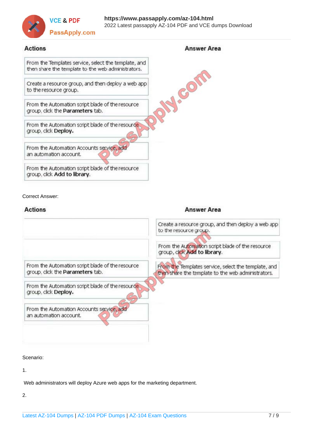

# **Actions**

# **Answer Area**

PRAISON From the Templates service, select the template, and then share the template to the web administrators.

Create a resource group, and then deploy a web app to the resource group.

From the Automation script blade of the resource group, click the Parameters tab.

From the Automation script blade of the resource group, click Deploy.

From the Automation Accounts service, add an automation account.

From the Automation script blade of the resource group, click Add to library.

### Correct Answer:

# $A - B - C$

| <b>Answer Area</b>                                                                                         |  |
|------------------------------------------------------------------------------------------------------------|--|
| Create a resource group, and then deploy a web app<br>to the resource group.                               |  |
| From the Automation script blade of the resource<br>group, click Add to library.                           |  |
| From the Templates service, select the template, and<br>then share the template to the web administrators. |  |
|                                                                                                            |  |
|                                                                                                            |  |
|                                                                                                            |  |

Scenario:

1.

Web administrators will deploy Azure web apps for the marketing department.

2.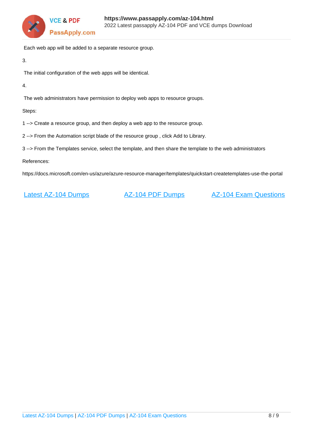

Each web app will be added to a separate resource group.

3.

The initial configuration of the web apps will be identical.

4.

The web administrators have permission to deploy web apps to resource groups.

Steps:

1 --> Create a resource group, and then deploy a web app to the resource group.

2 --> From the Automation script blade of the resource group , click Add to Library.

3 --> From the Templates service, select the template, and then share the template to the web administrators

References:

https://docs.microsoft.com/en-us/azure/azure-resource-manager/templates/quickstart-createtemplates-use-the-portal

[Latest AZ-104 Dumps](https://www.passapply.com/az-104.html) [AZ-104 PDF Dumps](https://www.passapply.com/az-104.html) [AZ-104 Exam Questions](https://www.passapply.com/az-104.html)